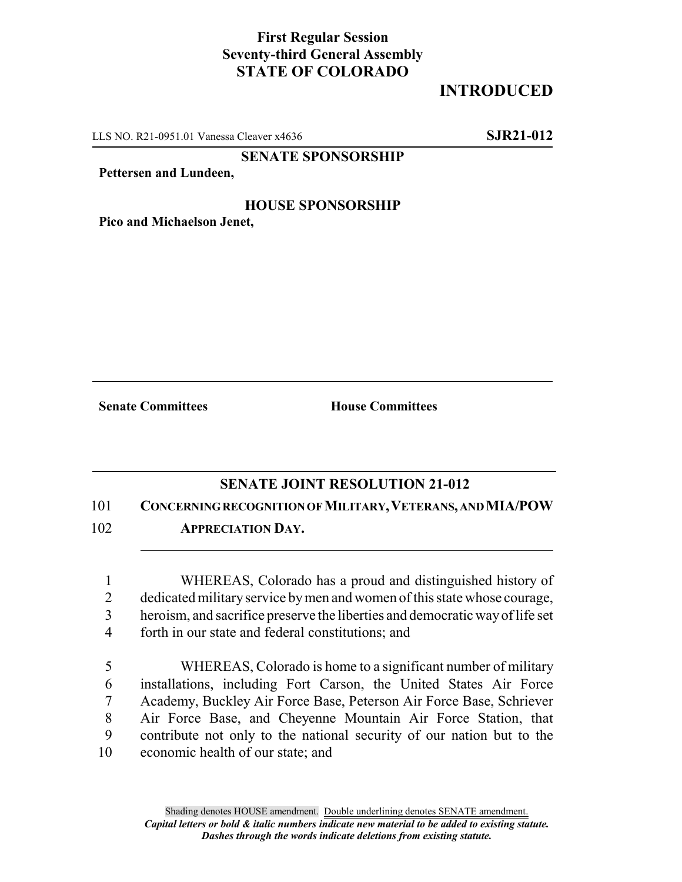## **First Regular Session Seventy-third General Assembly STATE OF COLORADO**

## **INTRODUCED**

LLS NO. R21-0951.01 Vanessa Cleaver x4636 **SJR21-012**

**SENATE SPONSORSHIP**

**Pettersen and Lundeen,**

## **HOUSE SPONSORSHIP**

**Pico and Michaelson Jenet,**

**Senate Committees House Committees** 

## **SENATE JOINT RESOLUTION 21-012**

101 **CONCERNING RECOGNITION OF MILITARY,VETERANS, AND MIA/POW**

102 **APPRECIATION DAY.**

1 WHEREAS, Colorado has a proud and distinguished history of 2 dedicated military service by men and women of this state whose courage,

- 3 heroism, and sacrifice preserve the liberties and democratic way of life set
- 4 forth in our state and federal constitutions; and
- 5 WHEREAS, Colorado is home to a significant number of military 6 installations, including Fort Carson, the United States Air Force 7 Academy, Buckley Air Force Base, Peterson Air Force Base, Schriever 8 Air Force Base, and Cheyenne Mountain Air Force Station, that 9 contribute not only to the national security of our nation but to the 10 economic health of our state; and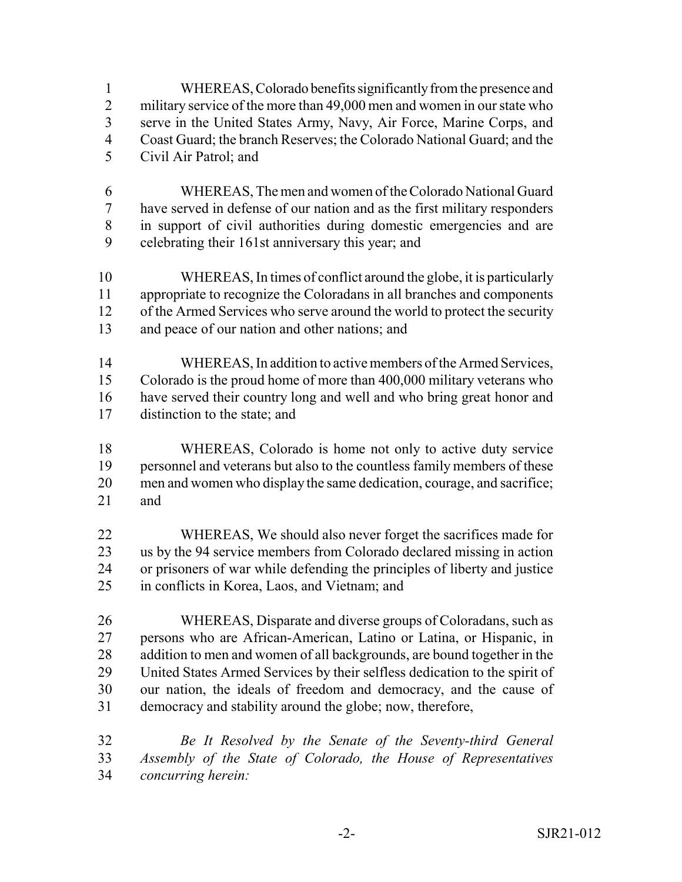WHEREAS, Colorado benefits significantly from the presence and 2 military service of the more than 49,000 men and women in our state who serve in the United States Army, Navy, Air Force, Marine Corps, and Coast Guard; the branch Reserves; the Colorado National Guard; and the

- Civil Air Patrol; and
- WHEREAS, The men and women of the Colorado National Guard have served in defense of our nation and as the first military responders in support of civil authorities during domestic emergencies and are celebrating their 161st anniversary this year; and
- WHEREAS, In times of conflict around the globe, it is particularly appropriate to recognize the Coloradans in all branches and components 12 of the Armed Services who serve around the world to protect the security and peace of our nation and other nations; and
- WHEREAS, In addition to active members of the Armed Services, Colorado is the proud home of more than 400,000 military veterans who have served their country long and well and who bring great honor and distinction to the state; and
- WHEREAS, Colorado is home not only to active duty service personnel and veterans but also to the countless family members of these men and women who display the same dedication, courage, and sacrifice; and
- WHEREAS, We should also never forget the sacrifices made for us by the 94 service members from Colorado declared missing in action or prisoners of war while defending the principles of liberty and justice in conflicts in Korea, Laos, and Vietnam; and
- WHEREAS, Disparate and diverse groups of Coloradans, such as persons who are African-American, Latino or Latina, or Hispanic, in 28 addition to men and women of all backgrounds, are bound together in the United States Armed Services by their selfless dedication to the spirit of our nation, the ideals of freedom and democracy, and the cause of democracy and stability around the globe; now, therefore,
- *Be It Resolved by the Senate of the Seventy-third General Assembly of the State of Colorado, the House of Representatives concurring herein:*